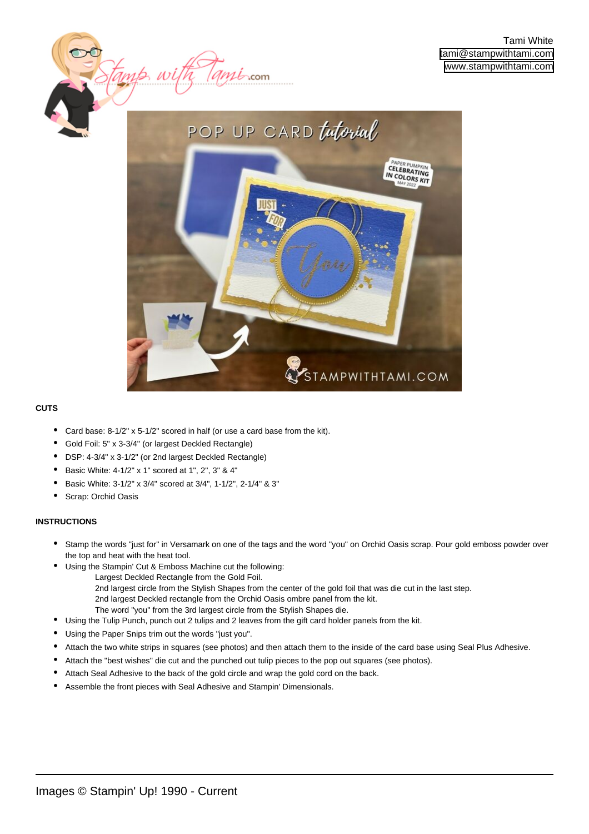

 $\mu$ *t*-com

#### **CUTS**

- Card base: 8-1/2" x 5-1/2" scored in half (or use a card base from the kit).
- Gold Foil: 5" x 3-3/4" (or largest Deckled Rectangle)
- DSP: 4-3/4" x 3-1/2" (or 2nd largest Deckled Rectangle)
- Basic White: 4-1/2" x 1" scored at 1", 2", 3" & 4"

tamp w

- Basic White: 3-1/2" x 3/4" scored at 3/4", 1-1/2", 2-1/4" & 3"
- Scrap: Orchid Oasis

#### **INSTRUCTIONS**

- Stamp the words "just for" in Versamark on one of the tags and the word "you" on Orchid Oasis scrap. Pour gold emboss powder over the top and heat with the heat tool. •
- Using the Stampin' Cut & Emboss Machine cut the following: •
	- Largest Deckled Rectangle from the Gold Foil.
	- 2nd largest circle from the Stylish Shapes from the center of the gold foil that was die cut in the last step. 2nd largest Deckled rectangle from the Orchid Oasis ombre panel from the kit. The word "you" from the 3rd largest circle from the Stylish Shapes die.
	- Using the Tulip Punch, punch out 2 tulips and 2 leaves from the gift card holder panels from the kit.
- Using the Paper Snips trim out the words "just you".
- Attach the two white strips in squares (see photos) and then attach them to the inside of the card base using Seal Plus Adhesive.
- Attach the "best wishes" die cut and the punched out tulip pieces to the pop out squares (see photos).
- Attach Seal Adhesive to the back of the gold circle and wrap the gold cord on the back.
- Assemble the front pieces with Seal Adhesive and Stampin' Dimensionals.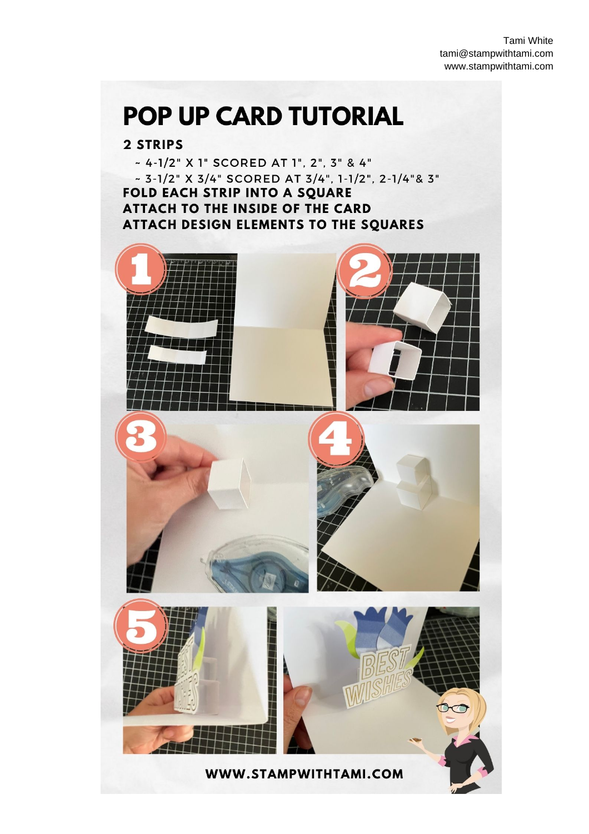Tami White tami@stampwithtami.com www.stampwithtami.com

## POP UP CARD TUTORIAL

### 2 STRIPS

~ 4-1/2" X 1" SCORED AT 1", 2", 3" & 4" ~ 3-1/2" X 3/4" SCORED AT 3/4", 1-1/2", 2-1/4"& 3" FOLD EACH STRIP INTO A SQUARE ATTACH TO THE INSIDE OF THE CARD ATTACH DESIGN ELEMENTS TO THE SQUARES





 $\bullet$ 



WWW.STAMPWITHTAMI.COM